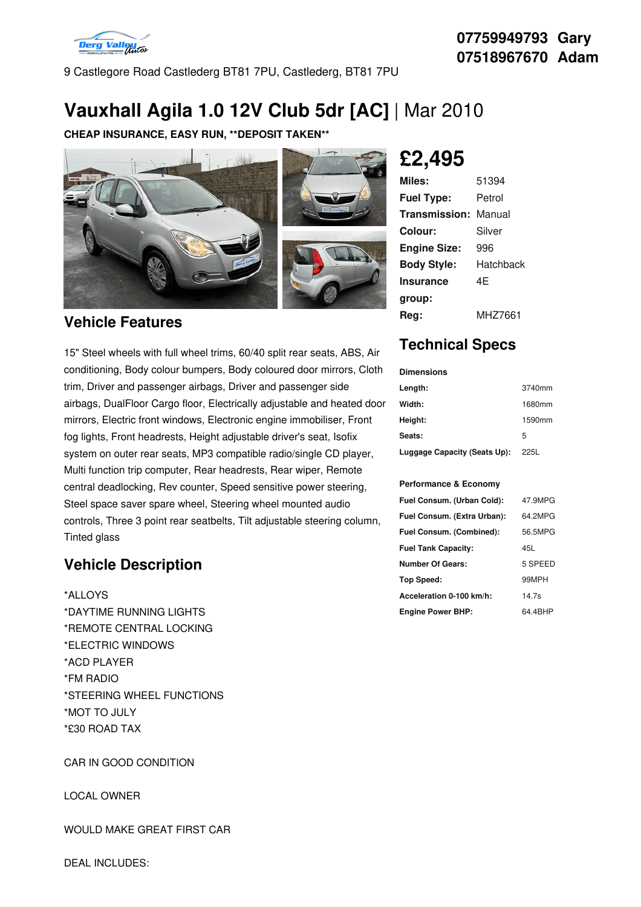

9 Castlegore Road Castlederg BT81 7PU, Castlederg, BT81 7PU

# **Vauxhall Agila 1.0 12V Club 5dr [AC]** | Mar 2010

**CHEAP INSURANCE, EASY RUN, \*\*DEPOSIT TAKEN\*\***



### **Vehicle Features**

15" Steel wheels with full wheel trims, 60/40 split rear seats, ABS, Air conditioning, Body colour bumpers, Body coloured door mirrors, Cloth trim, Driver and passenger airbags, Driver and passenger side airbags, DualFloor Cargo floor, Electrically adjustable and heated door mirrors, Electric front windows, Electronic engine immobiliser, Front fog lights, Front headrests, Height adjustable driver's seat, Isofix system on outer rear seats, MP3 compatible radio/single CD player, Multi function trip computer, Rear headrests, Rear wiper, Remote central deadlocking, Rev counter, Speed sensitive power steering, Steel space saver spare wheel, Steering wheel mounted audio controls, Three 3 point rear seatbelts, Tilt adjustable steering column, Tinted glass

### **Vehicle Description**

\*ALLOYS \*DAYTIME RUNNING LIGHTS \*REMOTE CENTRAL LOCKING \*ELECTRIC WINDOWS \*ACD PLAYER \*FM RADIO \*STEERING WHEEL FUNCTIONS \*MOT TO JULY \*£30 ROAD TAX

CAR IN GOOD CONDITION

LOCAL OWNER

#### WOULD MAKE GREAT FIRST CAR

# **£2,495**

| Miles:              | 51394     |
|---------------------|-----------|
| <b>Fuel Type:</b>   | Petrol    |
| Transmission:       | Manual    |
| Colour:             | Silver    |
| <b>Engine Size:</b> | 996       |
| <b>Body Style:</b>  | Hatchback |
| <b>Insurance</b>    | 4F        |
| group:              |           |
| Rea:                | MHZ7661   |

## **Technical Specs**

### **Dimensions**

| Length:                      | 3740mm |
|------------------------------|--------|
| Width:                       | 1680mm |
| Height:                      | 1590mm |
| Seats:                       | 5      |
| Luggage Capacity (Seats Up): | 225L   |

#### **Performance & Economy**

| Fuel Consum. (Urban Cold):  | 47.9MPG |
|-----------------------------|---------|
| Fuel Consum. (Extra Urban): | 64.2MPG |
| Fuel Consum. (Combined):    | 56.5MPG |
| <b>Fuel Tank Capacity:</b>  | 45L     |
| <b>Number Of Gears:</b>     | 5 SPEED |
| <b>Top Speed:</b>           | 99MPH   |
| Acceleration 0-100 km/h:    | 14.7s   |
| <b>Engine Power BHP:</b>    | 64.4BHP |